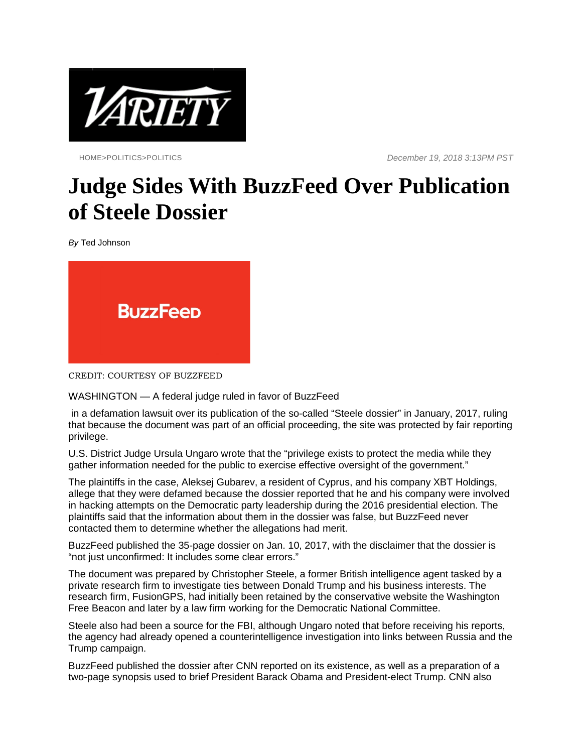

HOME>POLITICS>POLITICS *December 19, 2018 3:13PM PST*

## **Judge Sides With BuzzFeed Over Publication of Steele Dossier**

*By* Ted Johnson



CREDIT: COURTESY OF BUZZFEED

WASHINGTON — A federal judge ruled in favor of BuzzFeed

in a defamation lawsuit over its publication of the so-called "Steele dossier" in January, 2017, ruling that because the document was part of an official proceeding, the site was protected by fair reporting privilege.

U.S. District Judge Ursula Ungaro wrote that the "privilege exists to protect the media while they gather information needed for the public to exercise effective oversight of the government."

The plaintiffs in the case, Aleksej Gubarev, a resident of Cyprus, and his company XBT Holdings, allege that they were defamed because the dossier reported that he and his company were involved in hacking attempts on the Democratic party leadership during the 2016 presidential election. The plaintiffs said that the information about them in the dossier was false, but BuzzFeed never contacted them to determine whether the allegations had merit.

BuzzFeed published the 35-page dossier on Jan. 10, 2017, with the disclaimer that the dossier is "not just unconfirmed: It includes some clear errors."

The document was prepared by Christopher Steele, a former British intelligence agent tasked by a private research firm to investigate ties between Donald Trump and his business interests. The research firm, FusionGPS, had initially been retained by the conservative website the Washington Free Beacon and later by a law firm working for the Democratic National Committee.

Steele also had been a source for the FBI, although Ungaro noted that before receiving his reports, the agency had already opened a counterintelligence investigation into links between Russia and the Trump campaign.

BuzzFeed published the dossier after CNN reported on its existence, as well as a preparation of a two-page synopsis used to brief President Barack Obama and President-elect Trump. CNN also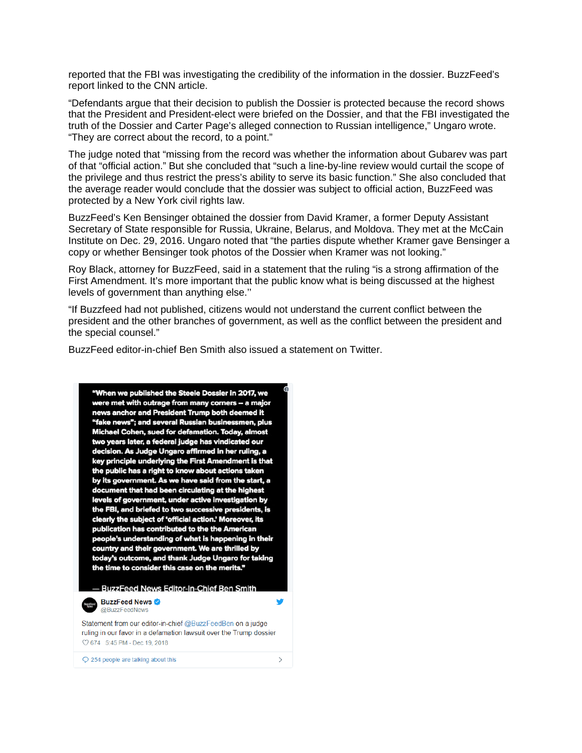reported that the FBI was investigating the credibility of the information in the dossier. BuzzFeed's report linked to the CNN article.

"Defendants argue that their decision to publish the Dossier is protected because the record shows that the President and President-elect were briefed on the Dossier, and that the FBI investigated the truth of the Dossier and Carter Page's alleged connection to Russian intelligence," Ungaro wrote. "They are correct about the record, to a point."

The judge noted that "missing from the record was whether the information about Gubarev was part of that "official action." But she concluded that "such a line-by-line review would curtail the scope of the privilege and thus restrict the press's ability to serve its basic function." She also concluded that the average reader would conclude that the dossier was subject to official action, BuzzFeed was protected by a New York civil rights law.

BuzzFeed's Ken Bensinger obtained the dossier from David Kramer, a former Deputy Assistant Secretary of State responsible for Russia, Ukraine, Belarus, and Moldova. They met at the McCain Institute on Dec. 29, 2016. Ungaro noted that "the parties dispute whether Kramer gave Bensinger a copy or whether Bensinger took photos of the Dossier when Kramer was not looking."

Roy Black, attorney for BuzzFeed, said in a statement that the ruling "is a strong affirmation of the First Amendment. It's more important that the public know what is being discussed at the highest levels of government than anything else.''

"If Buzzfeed had not published, citizens would not understand the current conflict between the president and the other branches of government, as well as the conflict between the president and the special counsel."

BuzzFeed editor-in-chief Ben Smith also issued a statement on Twitter.

"When we published the Steele Dossier in 2017, we were met with outrage from many corners -- a major news anchor and President Trump both deemed it "fake news"; and several Russian businessmen, plus Michael Cohen, sued for defamation. Today, almost two years later, a federal judge has vindicated our decision. As Judge Ungaro affirmed in her ruling, a key principle underlying the First Amendment is that the public has a right to know about actions taken by its government. As we have said from the start, a document that had been circulating at the highest levels of government, under active investigation by the FBI, and briefed to two successive presidents, is clearly the subject of 'official action.' Moreover, its publication has contributed to the the American people's understanding of what is happening in their country and their government. We are thrilled by today's outcome, and thank Judge Ungaro for taking the time to consider this case on the merits." - BuzzFeed News Editor-In-Chief Ben Smith Ŵ **BuzzFeed News** @BuzzFeedNews Statement from our editor-in-chief @BuzzFeedBen on a judge ruling in our favor in a defamation lawsuit over the Trump dossier ◯ 674 5:45 PM - Dec 19, 2018 Q 254 people are talking about this  $\rightarrow$